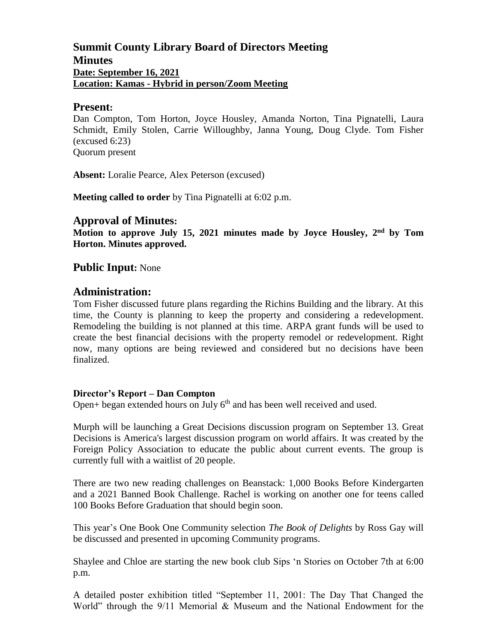## **Summit County Library Board of Directors Meeting Minutes Date: September 16, 2021 Location: Kamas - Hybrid in person/Zoom Meeting**

#### **Present:**

Dan Compton, Tom Horton, Joyce Housley, Amanda Norton, Tina Pignatelli, Laura Schmidt, Emily Stolen, Carrie Willoughby, Janna Young, Doug Clyde. Tom Fisher (excused 6:23) Quorum present

**Absent:** Loralie Pearce, Alex Peterson (excused)

**Meeting called to order** by Tina Pignatelli at 6:02 p.m.

#### **Approval of Minutes:**

**Motion to approve July 15, 2021 minutes made by Joyce Housley, 2 nd by Tom Horton. Minutes approved.** 

#### **Public Input:** None

#### **Administration:**

Tom Fisher discussed future plans regarding the Richins Building and the library. At this time, the County is planning to keep the property and considering a redevelopment. Remodeling the building is not planned at this time. ARPA grant funds will be used to create the best financial decisions with the property remodel or redevelopment. Right now, many options are being reviewed and considered but no decisions have been finalized.

#### **Director's Report – Dan Compton**

Open+ began extended hours on July  $6<sup>th</sup>$  and has been well received and used.

Murph will be launching a Great Decisions discussion program on September 13. Great Decisions is America's largest discussion program on world affairs. It was created by the Foreign Policy Association to educate the public about current events. The group is currently full with a waitlist of 20 people.

There are two new reading challenges on Beanstack: 1,000 Books Before Kindergarten and a 2021 Banned Book Challenge. Rachel is working on another one for teens called 100 Books Before Graduation that should begin soon.

This year's One Book One Community selection *The Book of Delights* by Ross Gay will be discussed and presented in upcoming Community programs.

Shaylee and Chloe are starting the new book club Sips 'n Stories on October 7th at 6:00 p.m.

A detailed poster exhibition titled "September 11, 2001: The Day That Changed the World" through the 9/11 Memorial & Museum and the National Endowment for the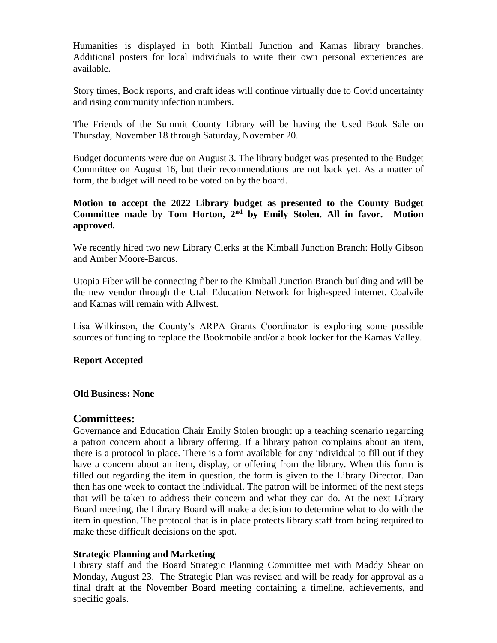Humanities is displayed in both Kimball Junction and Kamas library branches. Additional posters for local individuals to write their own personal experiences are available.

Story times, Book reports, and craft ideas will continue virtually due to Covid uncertainty and rising community infection numbers.

The Friends of the Summit County Library will be having the Used Book Sale on Thursday, November 18 through Saturday, November 20.

Budget documents were due on August 3. The library budget was presented to the Budget Committee on August 16, but their recommendations are not back yet. As a matter of form, the budget will need to be voted on by the board.

## **Motion to accept the 2022 Library budget as presented to the County Budget Committee made by Tom Horton, 2nd by Emily Stolen. All in favor. Motion approved.**

We recently hired two new Library Clerks at the Kimball Junction Branch: Holly Gibson and Amber Moore-Barcus.

Utopia Fiber will be connecting fiber to the Kimball Junction Branch building and will be the new vendor through the Utah Education Network for high-speed internet. Coalvile and Kamas will remain with Allwest.

Lisa Wilkinson, the County's ARPA Grants Coordinator is exploring some possible sources of funding to replace the Bookmobile and/or a book locker for the Kamas Valley.

## **Report Accepted**

#### **Old Business: None**

## **Committees:**

Governance and Education Chair Emily Stolen brought up a teaching scenario regarding a patron concern about a library offering. If a library patron complains about an item, there is a protocol in place. There is a form available for any individual to fill out if they have a concern about an item, display, or offering from the library. When this form is filled out regarding the item in question, the form is given to the Library Director. Dan then has one week to contact the individual. The patron will be informed of the next steps that will be taken to address their concern and what they can do. At the next Library Board meeting, the Library Board will make a decision to determine what to do with the item in question. The protocol that is in place protects library staff from being required to make these difficult decisions on the spot.

#### **Strategic Planning and Marketing**

Library staff and the Board Strategic Planning Committee met with Maddy Shear on Monday, August 23. The Strategic Plan was revised and will be ready for approval as a final draft at the November Board meeting containing a timeline, achievements, and specific goals.